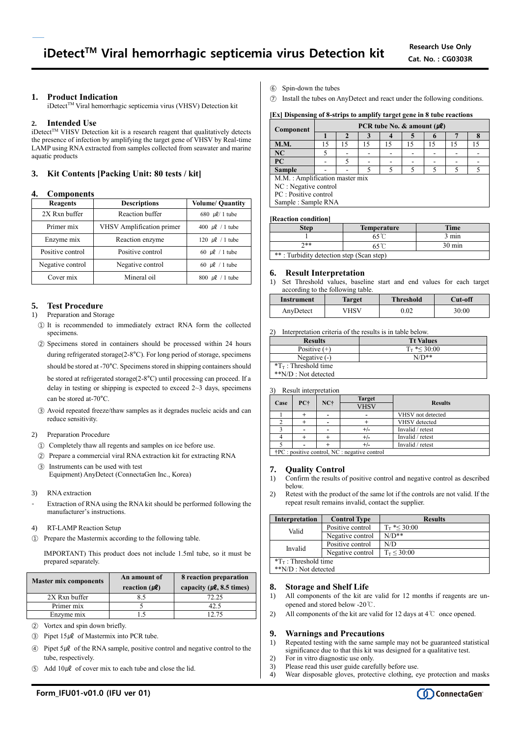# **1. Product Indication**

iDetect<sup>™</sup> Viral hemorrhagic septicemia virus (VHSV) Detection kit

# **2. Intended Use**

 $i$ Detect<sup>TM</sup> VHSV Detection kit is a research reagent that qualitatively detects the presence of infection by amplifying the target gene of VHSV by Real-time LAMP using RNA extracted from samples collected from seawater and marine aquatic products

# **3. Kit Contents [Packing Unit: 80 tests / kit]**

## **4. Components**

| <b>Reagents</b>  | <b>Descriptions</b>       | <b>Volume/ Quantity</b>           |
|------------------|---------------------------|-----------------------------------|
| 2X Rxn buffer    | Reaction buffer           | 680 $\mu$ l/ 1 tube               |
| Primer mix       | VHSV Amplification primer | 400 $\mu$ l / 1 tube              |
| Enzyme mix       | Reaction enzyme           | 120 $\mu$ l / 1 tube              |
| Positive control | Positive control          | 60 $\mu$ l / 1 tube               |
| Negative control | Negative control          | 60 $\mu$ l / 1 tube               |
| Cover mix        | Mineral oil               | $800 \text{ }\mu\text{}$ / 1 tube |

# **5. Test Procedure**

- 1) Preparation and Storage
- ① It is recommended to immediately extract RNA form the collected specimens.
- ② Specimens stored in containers should be processed within 24 hours during refrigerated storage(2-8°C). For long period of storage, specimens should be stored at -70°C. Specimens stored in shipping containers should be stored at refrigerated storage(2-8°C) until processing can proceed. If a delay in testing or shipping is expected to exceed 2~3 days, specimens can be stored at-70°C.
- ③ Avoid repeated freeze/thaw samples as it degrades nucleic acids and can reduce sensitivity.
- 2) Preparation Procedure
	- ① Completely thaw all regents and samples on ice before use.
- ② Prepare a commercial viral RNA extraction kit for extracting RNA
- ③ Instruments can be used with test Equipment) AnyDetect (ConnectaGen Inc., Korea)
- 3) RNA extraction
- Extraction of RNA using the RNA kit should be performed following the manufacturer's instructions.
- 4) RT-LAMP Reaction Setup
- ① Prepare the Mastermix according to the following table.

IMPORTANT) This product does not include 1.5ml tube, so it must be prepared separately.

| <b>Master mix components</b> | An amount of<br>reaction $(\mu \ell)$ | 8 reaction preparation<br>capacity ( $\mu$ <b>l</b> , 8.5 times) |  |
|------------------------------|---------------------------------------|------------------------------------------------------------------|--|
| 2X Rxn buffer                |                                       | 72.25                                                            |  |
| Primer mix                   |                                       | 42.5                                                             |  |
| Enzyme mix                   |                                       | 12 75                                                            |  |

- ② Vortex and spin down briefly.
- $\textcircled{3}$  Pipet 15µl of Mastermix into PCR tube.
- $\widehat{A}$  Pipet 5µl of the RNA sample, positive control and negative control to the tube, respectively.
- $\overline{6}$  Add  $10 \mu \ell$  of cover mix to each tube and close the lid.
- ⑥ Spin-down the tubes
- ⑦ Install the tubes on AnyDetect and react under the following conditions.

# **[Ex] Dispensing of 8-strips to amplify target gene in 8 tube reactions**

| Component                      | PCR tube No. $\&$ amount ( $\mu$ <i>l</i> ) |    |    |    |    |    |    |    |
|--------------------------------|---------------------------------------------|----|----|----|----|----|----|----|
|                                |                                             |    |    |    |    |    |    |    |
| <b>M.M.</b>                    | 15                                          | 15 | 15 | 15 | 15 | 15 | 15 | 15 |
| NC                             |                                             |    |    |    |    |    |    |    |
| <b>PC</b>                      |                                             |    |    |    |    |    |    |    |
| <b>Sample</b>                  |                                             |    |    |    |    |    |    |    |
| M.M.: Amplification master mix |                                             |    |    |    |    |    |    |    |
| NC : Negative control          |                                             |    |    |    |    |    |    |    |
| PC : Positive control          |                                             |    |    |    |    |    |    |    |
| Sample: Sample RNA             |                                             |    |    |    |    |    |    |    |

#### **[Reaction condition]**

| Step                                     | <b>Temperature</b> | <b>Time</b>      |  |  |
|------------------------------------------|--------------------|------------------|--|--|
|                                          |                    | 3 min            |  |  |
| ን**                                      |                    | $30 \text{ min}$ |  |  |
| **: Turbidity detection step (Scan step) |                    |                  |  |  |

# **6. Result Interpretation**

1) Set Threshold values, baseline start and end values for each target according to the following table.

| Instrument | Target | <b>Threshold</b> | Cut-off |
|------------|--------|------------------|---------|
| AnyDetect  | ∕HSV   | 0.02             | 30:00   |

2) Interpretation criteria of the results is in table below.

| <b>Results</b>                  | <b>Tt Values</b>     |
|---------------------------------|----------------------|
| Positive $(+)$                  | $T_{\rm T}$ *< 30:00 |
| Negative $(-)$                  | $N/D**$              |
| $T_{\text{T}}$ : Threshold time |                      |
| **N/D : Not detected            |                      |

3) Result interpretation

| $\sim$ 1                                                       | <i>Repair meersteamen</i> |                        |             |                   |
|----------------------------------------------------------------|---------------------------|------------------------|-------------|-------------------|
| Case                                                           |                           | <b>Target</b><br>$NC+$ |             |                   |
|                                                                | PC+                       |                        | <b>VHSV</b> | <b>Results</b>    |
|                                                                |                           |                        |             | VHSV not detected |
|                                                                |                           |                        |             | VHSV detected     |
|                                                                |                           |                        | $^{+/-}$    | Invalid / retest  |
|                                                                |                           |                        | $+/-$       | Invalid / retest  |
|                                                                |                           |                        |             | Invalid / retest  |
| $\Delta$ DC $\ldots$ is the control. MC control to the control |                           |                        |             |                   |

†PC : positive control, NC : negative control

# **7. Quality Control**

- 1) Confirm the results of positive control and negative control as described below.
- 2) Retest with the product of the same lot if the controls are not valid. If the repeat result remains invalid, contact the supplier.

| Interpretation                  | <b>Control Type</b> | <b>Results</b>       |  |  |
|---------------------------------|---------------------|----------------------|--|--|
| Valid                           | Positive control    | $T_{\rm T}$ *< 30:00 |  |  |
|                                 | Negative control    | $N/D**$              |  |  |
| Invalid                         | Positive control    | N/D                  |  |  |
|                                 | Negative control    | $T_{\rm T}$ < 30:00  |  |  |
| $T_{\text{T}}$ : Threshold time |                     |                      |  |  |
| **N/D : Not detected            |                     |                      |  |  |

## **8. Storage and Shelf Life**

- 1) All components of the kit are valid for 12 months if reagents are unopened and stored below -20℃.
- 2) All components of the kit are valid for 12 days at 4℃ once opened.

## **9. Warnings and Precautions**

- 1) Repeated testing with the same sample may not be guaranteed statistical significance due to that this kit was designed for a qualitative test.
- 2) For in vitro diagnostic use only.
- 3) Please read this user guide carefully before use.
- 4) Wear disposable gloves, protective clothing, eye protection and masks